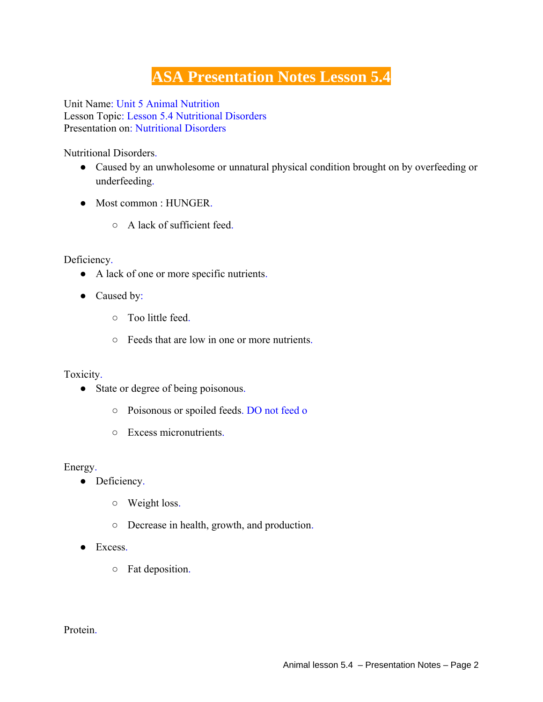## **ASA Presentation Notes Lesson 5.4**

Unit Name: Unit 5 Animal Nutrition Lesson Topic: Lesson 5.4 Nutritional Disorders Presentation on: Nutritional Disorders

Nutritional Disorders.

- Caused by an unwholesome or unnatural physical condition brought on by overfeeding or underfeeding.
- Most common : HUNGER.
	- A lack of sufficient feed.

Deficiency.

- A lack of one or more specific nutrients.
- Caused by:
	- Too little feed.
	- Feeds that are low in one or more nutrients.

## Toxicity.

- State or degree of being poisonous.
	- Poisonous or spoiled feeds. DO not feed o
	- Excess micronutrients.

Energy.

- Deficiency.
	- Weight loss.
	- Decrease in health, growth, and production.
- Excess.
	- Fat deposition.

Protein.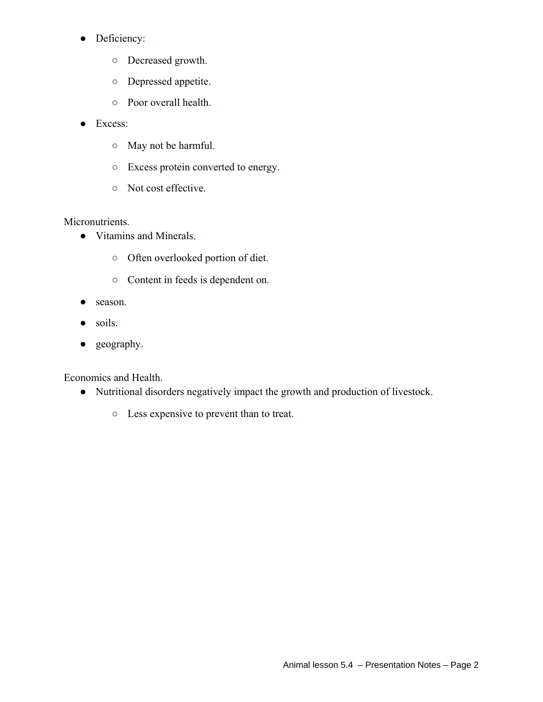- Deficiency:
	- Decreased growth.
	- Depressed appetite.
	- Poor overall health.
- Excess:
	- May not be harmful.
	- Excess protein converted to energy.
	- Not cost effective.

Micronutrients.

- Vitamins and Minerals.
	- Often overlooked portion of diet.
	- Content in feeds is dependent on.
- season.
- soils.
- geography.

Economics and Health.

- Nutritional disorders negatively impact the growth and production of livestock.
	- Less expensive to prevent than to treat.